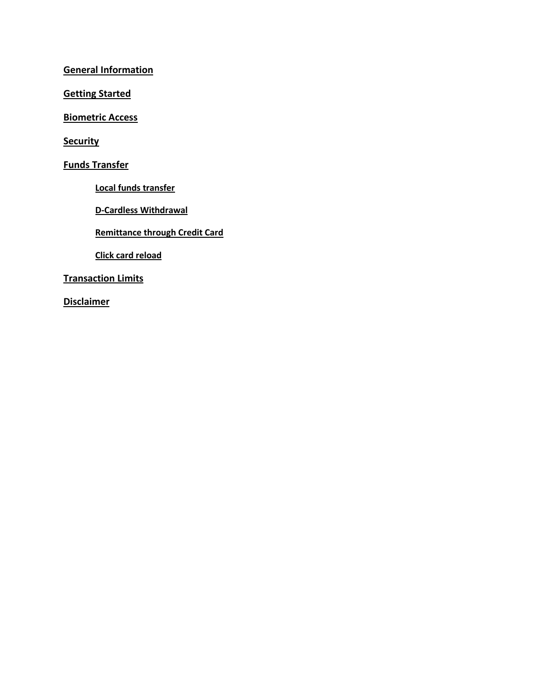**General [Information](#page-1-0)**

**[Getting](#page-1-1) Started**

**[Biometric](#page-2-0) Access**

**[Security](#page-3-0)**

**Funds [Transfer](#page-4-0)**

**Local funds [transfer](#page-4-1)**

**D-Cardless [Withdrawal](#page-4-1)**

**[Remittance](#page-6-0) through Credit Card**

**Click card [reload](#page-6-1)**

**[Transaction](#page-7-0) Limits**

**[Disclaimer](#page-7-1)**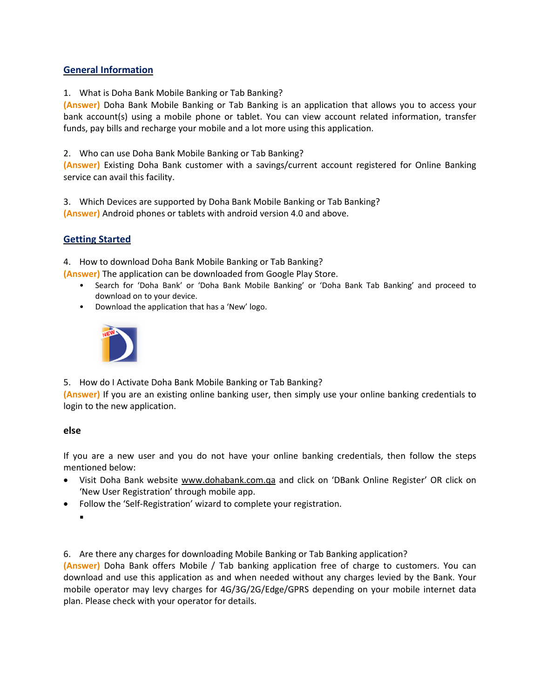# <span id="page-1-0"></span>**General Information**

1. What is Doha Bank Mobile Banking or Tab Banking?

**(Answer)** Doha Bank Mobile Banking or Tab Banking is an application that allows you to access your bank account(s) using a mobile phone or tablet. You can view account related information, transfer funds, pay bills and recharge your mobile and a lot more using this application.

2. Who can use Doha Bank Mobile Banking or Tab Banking?

**(Answer)** Existing Doha Bank customer with a savings/current account registered for Online Banking service can avail this facility.

3. Which Devices are supported by Doha Bank Mobile Banking or Tab Banking? **(Answer)** Android phones or tablets with android version 4.0 and above.

# <span id="page-1-1"></span>**Getting Started**

4. How to download Doha Bank Mobile Banking or Tab Banking?

**(Answer)** The application can be downloaded from Google Play Store.

- Search for 'Doha Bank' or 'Doha Bank Mobile Banking' or 'Doha Bank Tab Banking' and proceed to download on to your device.
- Download the application that has a 'New' logo.



5. How do I Activate Doha Bank Mobile Banking or Tab Banking?

**(Answer)** If you are an existing online banking user, then simply use your online banking credentials to login to the new application.

## **else**

If you are a new user and you do not have your online banking credentials, then follow the steps mentioned below:

- Visit Doha Bank website [www.dohabank.com.qa](http://www.dohabank.com.qa/) and click on 'DBank Online Register' OR click on 'New User Registration' through mobile app.
- Follow the 'Self-Registration' wizard to complete your registration.

 $\blacksquare$ 

6. Are there any charges for downloading Mobile Banking or Tab Banking application?

**(Answer)** Doha Bank offers Mobile / Tab banking application free of charge to customers. You can download and use this application as and when needed without any charges levied by the Bank. Your mobile operator may levy charges for 4G/3G/2G/Edge/GPRS depending on your mobile internet data plan. Please check with your operator for details.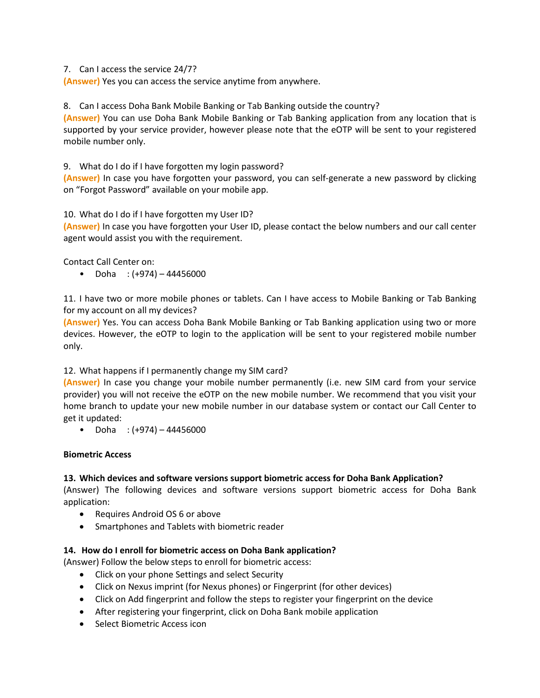7. Can I access the service 24/7?

**(Answer)** Yes you can access the service anytime from anywhere.

8. Can I access Doha Bank Mobile Banking or Tab Banking outside the country?

**(Answer)** You can use Doha Bank Mobile Banking or Tab Banking application from any location that is supported by your service provider, however please note that the eOTP will be sent to your registered mobile number only.

9. What do I do if I have forgotten my login password?

**(Answer)** In case you have forgotten your password, you can self-generate a new password by clicking on "Forgot Password" available on your mobile app.

10. What do I do if I have forgotten my User ID?

**(Answer)** In case you have forgotten your User ID, please contact the below numbers and our call center agent would assist you with the requirement.

Contact Call Center on:

• Doha :  $(+974) - 44456000$ 

11. I have two or more mobile phones or tablets. Can I have access to Mobile Banking or Tab Banking for my account on all my devices?

**(Answer)** Yes. You can access Doha Bank Mobile Banking or Tab Banking application using two or more devices. However, the eOTP to login to the application will be sent to your registered mobile number only.

# 12. What happens if I permanently change my SIM card?

**(Answer)** In case you change your mobile number permanently (i.e. new SIM card from your service provider) you will not receive the eOTP on the new mobile number. We recommend that you visit your home branch to update your new mobile number in our database system or contact our Call Center to get it updated:

• Doha :  $(+974) - 44456000$ 

## <span id="page-2-0"></span>**Biometric Access**

# **13. Which devices and software versions support biometric access for Doha Bank Application?**

(Answer) The following devices and software versions support biometric access for Doha Bank application:

- Requires Android OS 6 or above
- Smartphones and Tablets with biometric reader

## **14. How do I enroll for biometric access on Doha Bank application?**

(Answer) Follow the below steps to enroll for biometric access:

- Click on your phone Settings and select Security
- Click on Nexus imprint (for Nexus phones) or Fingerprint (for other devices)
- Click on Add fingerprint and follow the steps to register your fingerprint on the device
- After registering your fingerprint, click on Doha Bank mobile application
- Select Biometric Access icon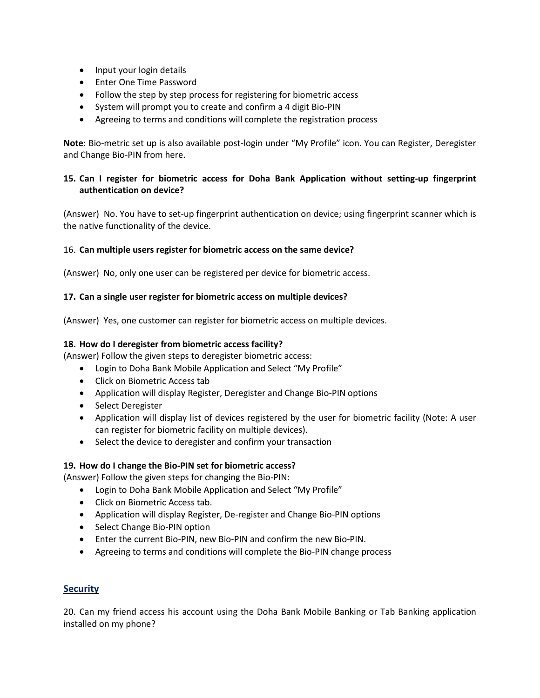- Input your login details
- **•** Enter One Time Password
- Follow the step by step process for registering for biometric access
- System will prompt you to create and confirm a 4 digit Bio-PIN
- Agreeing to terms and conditions will complete the registration process

**Note**: Bio-metric set up is also available post-login under "My Profile" icon. You can Register, Deregister and Change Bio-PIN from here.

## **15. Can I register for biometric access for Doha Bank Application without setting-up fingerprint authentication on device?**

(Answer) No. You have to set-up fingerprint authentication on device; using fingerprint scanner which is the native functionality of the device.

## 16. **Can multiple users register for biometric access on the same device?**

(Answer) No, only one user can be registered per device for biometric access.

## **17. Can a single user register for biometric access on multiple devices?**

(Answer) Yes, one customer can register for biometric access on multiple devices.

## **18. How do I deregister from biometric access facility?**

(Answer) Follow the given steps to deregister biometric access:

- Login to Doha Bank Mobile Application and Select "My Profile"
- Click on Biometric Access tab
- Application will display Register, Deregister and Change Bio-PIN options
- Select Deregister
- Application will display list of devices registered by the user for biometric facility (Note: A user can register for biometric facility on multiple devices).
- Select the device to deregister and confirm your transaction

## **19. How do I change the Bio-PIN set for biometric access?**

(Answer) Follow the given steps for changing the Bio-PIN:

- Login to Doha Bank Mobile Application and Select "My Profile"
- Click on Biometric Access tab.
- Application will display Register, De-register and Change Bio-PIN options
- Select Change Bio-PIN option
- Enter the current Bio-PIN, new Bio-PIN and confirm the new Bio-PIN.
- Agreeing to terms and conditions will complete the Bio-PIN change process

# <span id="page-3-0"></span>**Security**

20. Can my friend access his account using the Doha Bank Mobile Banking or Tab Banking application installed on my phone?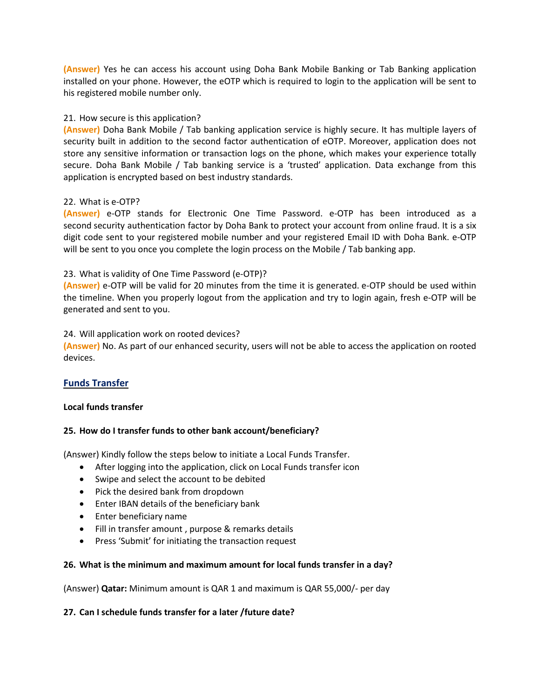**(Answer)** Yes he can access his account using Doha Bank Mobile Banking or Tab Banking application installed on your phone. However, the eOTP which is required to login to the application will be sent to his registered mobile number only.

## 21. How secure is this application?

**(Answer)** Doha Bank Mobile / Tab banking application service is highly secure. It has multiple layers of security built in addition to the second factor authentication of eOTP. Moreover, application does not store any sensitive information or transaction logs on the phone, which makes your experience totally secure. Doha Bank Mobile / Tab banking service is a 'trusted' application. Data exchange from this application is encrypted based on best industry standards.

## 22. What is e-OTP?

**(Answer)** e-OTP stands for Electronic One Time Password. e-OTP has been introduced as a second security authentication factor by Doha Bank to protect your account from online fraud. It is a six digit code sent to your registered mobile number and your registered Email ID with Doha Bank. e-OTP will be sent to you once you complete the login process on the Mobile / Tab banking app.

## 23. What is validity of One Time Password (e-OTP)?

**(Answer)** e-OTP will be valid for 20 minutes from the time it is generated. e-OTP should be used within the timeline. When you properly logout from the application and try to login again, fresh e-OTP will be generated and sent to you.

## 24. Will application work on rooted devices?

**(Answer)** No. As part of our enhanced security, users will not be able to access the application on rooted devices.

# <span id="page-4-0"></span>**Funds Transfer**

## <span id="page-4-1"></span>**Local funds transfer**

# **25. How do I transfer funds to other bank account/beneficiary?**

(Answer) Kindly follow the steps below to initiate a Local Funds Transfer.

- After logging into the application, click on Local Funds transfer icon
- Swipe and select the account to be debited
- Pick the desired bank from dropdown
- **•** Enter IBAN details of the beneficiary bank
- Enter beneficiary name
- Fill in transfer amount , purpose & remarks details
- Press 'Submit' for initiating the transaction request

## **26. What is the minimum and maximum amount for local funds transfer in a day?**

(Answer) **Qatar:** Minimum amount is QAR 1 and maximum is QAR 55,000/- per day

## **27. Can I schedule funds transfer for a later /future date?**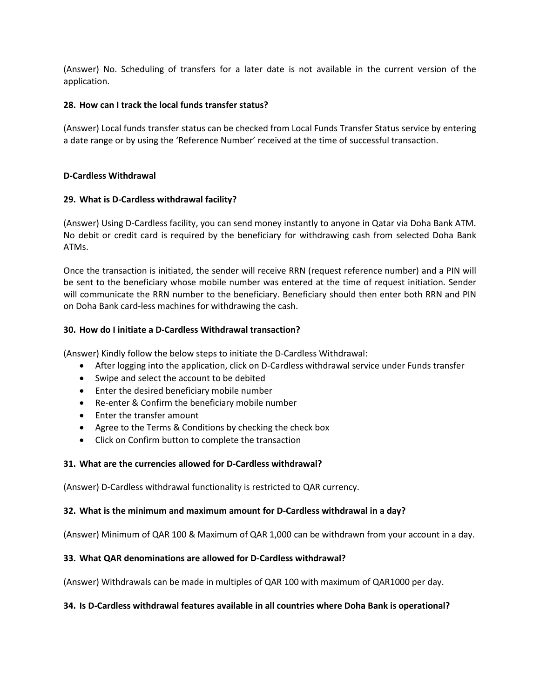(Answer) No. Scheduling of transfers for a later date is not available in the current version of the application.

#### **28. How can I track the local funds transfer status?**

(Answer) Local funds transfer status can be checked from Local Funds Transfer Status service by entering a date range or by using the 'Reference Number' received at the time of successful transaction.

#### **D-Cardless Withdrawal**

#### **29. What is D-Cardless withdrawal facility?**

(Answer) Using D-Cardless facility, you can send money instantly to anyone in Qatar via Doha Bank ATM. No debit or credit card is required by the beneficiary for withdrawing cash from selected Doha Bank ATMs.

Once the transaction is initiated, the sender will receive RRN (request reference number) and a PIN will be sent to the beneficiary whose mobile number was entered at the time of request initiation. Sender will communicate the RRN number to the beneficiary. Beneficiary should then enter both RRN and PIN on Doha Bank card-less machines for withdrawing the cash.

#### **30. How do I initiate a D-Cardless Withdrawal transaction?**

(Answer) Kindly follow the below steps to initiate the D-Cardless Withdrawal:

- After logging into the application, click on D-Cardless withdrawal service under Funds transfer
- Swipe and select the account to be debited
- Enter the desired beneficiary mobile number
- Re-enter & Confirm the beneficiary mobile number
- Enter the transfer amount
- Agree to the Terms & Conditions by checking the check box
- Click on Confirm button to complete the transaction

## **31. What are the currencies allowed for D-Cardless withdrawal?**

(Answer) D-Cardless withdrawal functionality is restricted to QAR currency.

## **32. What is the minimum and maximum amount for D-Cardless withdrawal in a day?**

(Answer) Minimum of QAR 100 & Maximum of QAR 1,000 can be withdrawn from your account in a day.

## **33. What QAR denominations are allowed for D-Cardless withdrawal?**

(Answer) Withdrawals can be made in multiples of QAR 100 with maximum of QAR1000 per day.

## **34. Is D-Cardless withdrawal features available in all countries where Doha Bank is operational?**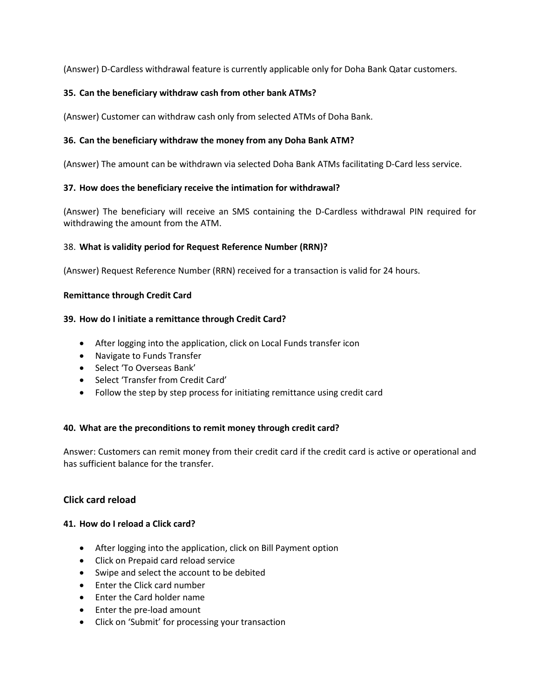(Answer) D-Cardless withdrawal feature is currently applicable only for Doha Bank Qatar customers.

## **35. Can the beneficiary withdraw cash from other bank ATMs?**

(Answer) Customer can withdraw cash only from selected ATMs of Doha Bank.

## **36. Can the beneficiary withdraw the money from any Doha Bank ATM?**

(Answer) The amount can be withdrawn via selected Doha Bank ATMs facilitating D-Card less service.

## **37. How does the beneficiary receive the intimation for withdrawal?**

(Answer) The beneficiary will receive an SMS containing the D-Cardless withdrawal PIN required for withdrawing the amount from the ATM.

## 38. **What is validity period for Request Reference Number (RRN)?**

(Answer) Request Reference Number (RRN) received for a transaction is valid for 24 hours.

## <span id="page-6-0"></span>**Remittance through Credit Card**

## **39. How do I initiate a remittance through Credit Card?**

- After logging into the application, click on Local Funds transfer icon
- Navigate to Funds Transfer
- Select 'To Overseas Bank'
- Select 'Transfer from Credit Card'
- Follow the step by step process for initiating remittance using credit card

## **40. What are the preconditions to remit money through credit card?**

Answer: Customers can remit money from their credit card if the credit card is active or operational and has sufficient balance for the transfer.

# <span id="page-6-1"></span>**Click card reload**

## **41. How do I reload a Click card?**

- After logging into the application, click on Bill Payment option
- Click on Prepaid card reload service
- Swipe and select the account to be debited
- Enter the Click card number
- Enter the Card holder name
- Enter the pre-load amount
- Click on 'Submit' for processing your transaction